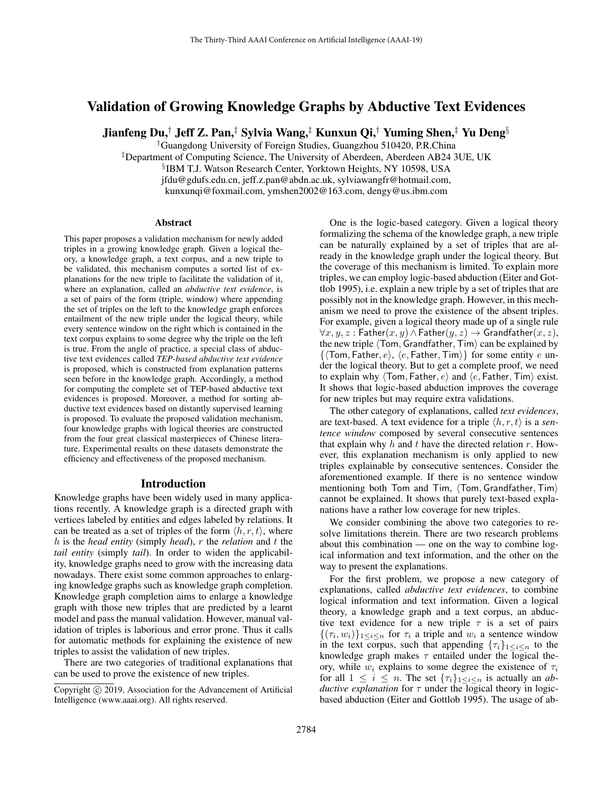# Validation of Growing Knowledge Graphs by Abductive Text Evidences

Jianfeng Du,† Jeff Z. Pan,‡ Sylvia Wang,‡ Kunxun Qi,† Yuming Shen,‡ Yu Deng§

†Guangdong University of Foreign Studies, Guangzhou 510420, P.R.China

‡Department of Computing Science, The University of Aberdeen, Aberdeen AB24 3UE, UK

§ IBM T.J. Watson Research Center, Yorktown Heights, NY 10598, USA

jfdu@gdufs.edu.cn, jeff.z.pan@abdn.ac.uk, sylviawangfr@hotmail.com,

kunxunqi@foxmail.com, ymshen2002@163.com, dengy@us.ibm.com

#### Abstract

This paper proposes a validation mechanism for newly added triples in a growing knowledge graph. Given a logical theory, a knowledge graph, a text corpus, and a new triple to be validated, this mechanism computes a sorted list of explanations for the new triple to facilitate the validation of it, where an explanation, called an *abductive text evidence*, is a set of pairs of the form (triple, window) where appending the set of triples on the left to the knowledge graph enforces entailment of the new triple under the logical theory, while every sentence window on the right which is contained in the text corpus explains to some degree why the triple on the left is true. From the angle of practice, a special class of abductive text evidences called *TEP-based abductive text evidence* is proposed, which is constructed from explanation patterns seen before in the knowledge graph. Accordingly, a method for computing the complete set of TEP-based abductive text evidences is proposed. Moreover, a method for sorting abductive text evidences based on distantly supervised learning is proposed. To evaluate the proposed validation mechanism, four knowledge graphs with logical theories are constructed from the four great classical masterpieces of Chinese literature. Experimental results on these datasets demonstrate the efficiency and effectiveness of the proposed mechanism.

#### Introduction

Knowledge graphs have been widely used in many applications recently. A knowledge graph is a directed graph with vertices labeled by entities and edges labeled by relations. It can be treated as a set of triples of the form  $\langle h, r, t \rangle$ , where h is the *head entity* (simply *head*), r the *relation* and t the *tail entity* (simply *tail*). In order to widen the applicability, knowledge graphs need to grow with the increasing data nowadays. There exist some common approaches to enlarging knowledge graphs such as knowledge graph completion. Knowledge graph completion aims to enlarge a knowledge graph with those new triples that are predicted by a learnt model and pass the manual validation. However, manual validation of triples is laborious and error prone. Thus it calls for automatic methods for explaining the existence of new triples to assist the validation of new triples.

There are two categories of traditional explanations that can be used to prove the existence of new triples.

One is the logic-based category. Given a logical theory formalizing the schema of the knowledge graph, a new triple can be naturally explained by a set of triples that are already in the knowledge graph under the logical theory. But the coverage of this mechanism is limited. To explain more triples, we can employ logic-based abduction (Eiter and Gottlob 1995), i.e. explain a new triple by a set of triples that are possibly not in the knowledge graph. However, in this mechanism we need to prove the existence of the absent triples. For example, given a logical theory made up of a single rule  $\forall x, y, z : \mathsf{Father}(x, y) \land \mathsf{Father}(y, z) \rightarrow \mathsf{Grandfather}(x, z),$ the new triple  $\langle$ Tom, Grandfather, Tim $\rangle$  can be explained by  $\{\langle$ Tom, Father,  $e\rangle$ ,  $\langle e,$  Father, Tim $\rangle\}$  for some entity  $e$  under the logical theory. But to get a complete proof, we need to explain why  $\langle$ Tom, Father,  $e$  and  $\langle e,$  Father, Tim $\rangle$  exist. It shows that logic-based abduction improves the coverage for new triples but may require extra validations.

The other category of explanations, called *text evidences*, are text-based. A text evidence for a triple  $\langle h, r, t \rangle$  is a *sentence window* composed by several consecutive sentences that explain why  $h$  and  $t$  have the directed relation  $r$ . However, this explanation mechanism is only applied to new triples explainable by consecutive sentences. Consider the aforementioned example. If there is no sentence window mentioning both Tom and Tim,  $\langle$ Tom, Grandfather, Tim $\rangle$ cannot be explained. It shows that purely text-based explanations have a rather low coverage for new triples.

We consider combining the above two categories to resolve limitations therein. There are two research problems about this combination — one on the way to combine logical information and text information, and the other on the way to present the explanations.

For the first problem, we propose a new category of explanations, called *abductive text evidences*, to combine logical information and text information. Given a logical theory, a knowledge graph and a text corpus, an abductive text evidence for a new triple  $\tau$  is a set of pairs  $\{(\tau_i, w_i)\}_{1 \leq i \leq n}$  for  $\tau_i$  a triple and  $w_i$  a sentence window in the text corpus, such that appending  $\{\tau_i\}_{1\leq i\leq n}$  to the knowledge graph makes  $\tau$  entailed under the logical theory, while  $w_i$  explains to some degree the existence of  $\tau_i$ for all  $1 \leq i \leq n$ . The set  $\{\tau_i\}_{1 \leq i \leq n}$  is actually an *abductive explanation* for  $\tau$  under the logical theory in logicbased abduction (Eiter and Gottlob 1995). The usage of ab-

Copyright © 2019, Association for the Advancement of Artificial Intelligence (www.aaai.org). All rights reserved.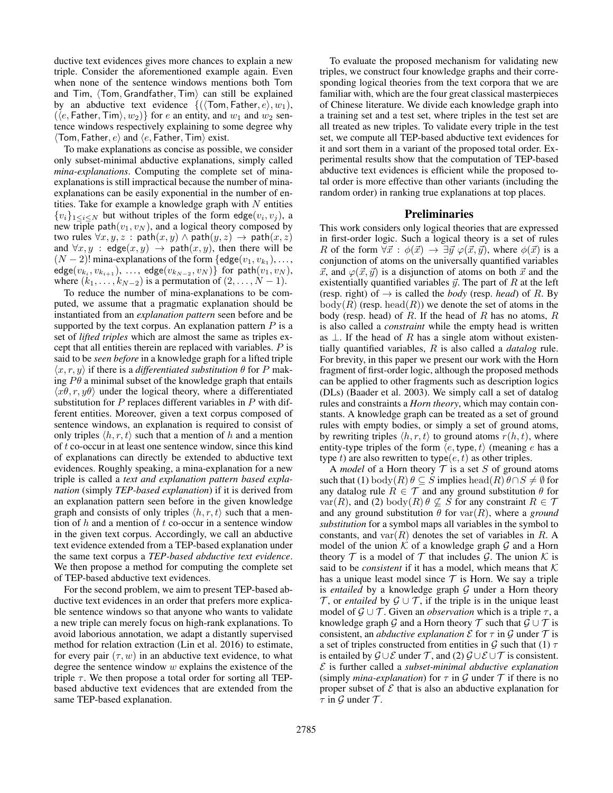ductive text evidences gives more chances to explain a new triple. Consider the aforementioned example again. Even when none of the sentence windows mentions both Tom and Tim,  $\langle$ Tom, Grandfather, Tim $\rangle$  can still be explained by an abductive text evidence  $\{(\langle \text{Tom}, \text{Father}, e \rangle, w_1),\}$  $(\langle e, \text{Father}, \text{Tim} \rangle, w_2)$  for e an entity, and  $w_1$  and  $w_2$  sentence windows respectively explaining to some degree why  $\langle$ Tom, Father,  $e$  and  $\langle e,$  Father, Tim $\rangle$  exist.

To make explanations as concise as possible, we consider only subset-minimal abductive explanations, simply called *mina-explanations*. Computing the complete set of minaexplanations is still impractical because the number of minaexplanations can be easily exponential in the number of entities. Take for example a knowledge graph with  $N$  entities  $\{v_i\}_{1\leq i\leq N}$  but without triples of the form edge $(v_i, v_j)$ , a new triple path $(v_1, v_N)$ , and a logical theory composed by two rules  $\forall x, y, z : \text{path}(x, y) \land \text{path}(y, z) \rightarrow \text{path}(x, z)$ and  $\forall x, y$  : edge $(x, y) \rightarrow \text{path}(x, y)$ , then there will be  $(N-2)!$  mina-explanations of the form  $\{\text{edge}(v_1, v_{k_1}), \ldots,$  $\mathsf{edge}(v_{k_i}, v_{k_{i+1}}), \ldots, \, \mathsf{edge}(v_{k_{N-2}}, v_N) \}$  for  $\mathsf{path}(v_1, v_N),$ where  $(k_1, \ldots, k_{N-2})$  is a permutation of  $(2, \ldots, N-1)$ .

To reduce the number of mina-explanations to be computed, we assume that a pragmatic explanation should be instantiated from an *explanation pattern* seen before and be supported by the text corpus. An explanation pattern  $P$  is a set of *lifted triples* which are almost the same as triples except that all entities therein are replaced with variables. P is said to be *seen before* in a knowledge graph for a lifted triple  $\langle x, r, y \rangle$  if there is a *differentiated substitution*  $\theta$  for P making  $P\theta$  a minimal subset of the knowledge graph that entails  $\langle x\theta, r, y\theta \rangle$  under the logical theory, where a differentiated substitution for  $P$  replaces different variables in  $P$  with different entities. Moreover, given a text corpus composed of sentence windows, an explanation is required to consist of only triples  $\langle h, r, t \rangle$  such that a mention of h and a mention of t co-occur in at least one sentence window, since this kind of explanations can directly be extended to abductive text evidences. Roughly speaking, a mina-explanation for a new triple is called a *text and explanation pattern based explanation* (simply *TEP-based explanation*) if it is derived from an explanation pattern seen before in the given knowledge graph and consists of only triples  $\langle h, r, t \rangle$  such that a mention of  $h$  and a mention of  $t$  co-occur in a sentence window in the given text corpus. Accordingly, we call an abductive text evidence extended from a TEP-based explanation under the same text corpus a *TEP-based abductive text evidence*. We then propose a method for computing the complete set of TEP-based abductive text evidences.

For the second problem, we aim to present TEP-based abductive text evidences in an order that prefers more explicable sentence windows so that anyone who wants to validate a new triple can merely focus on high-rank explanations. To avoid laborious annotation, we adapt a distantly supervised method for relation extraction (Lin et al. 2016) to estimate, for every pair  $(\tau, w)$  in an abductive text evidence, to what degree the sentence window  $w$  explains the existence of the triple  $\tau$ . We then propose a total order for sorting all TEPbased abductive text evidences that are extended from the same TEP-based explanation.

To evaluate the proposed mechanism for validating new triples, we construct four knowledge graphs and their corresponding logical theories from the text corpora that we are familiar with, which are the four great classical masterpieces of Chinese literature. We divide each knowledge graph into a training set and a test set, where triples in the test set are all treated as new triples. To validate every triple in the test set, we compute all TEP-based abductive text evidences for it and sort them in a variant of the proposed total order. Experimental results show that the computation of TEP-based abductive text evidences is efficient while the proposed total order is more effective than other variants (including the random order) in ranking true explanations at top places.

## **Preliminaries**

This work considers only logical theories that are expressed in first-order logic. Such a logical theory is a set of rules R of the form  $\forall \vec{x} : \phi(\vec{x}) \rightarrow \exists \vec{y} \; \phi(\vec{x}, \vec{y})$ , where  $\phi(\vec{x})$  is a conjunction of atoms on the universally quantified variables  $\vec{x}$ , and  $\varphi(\vec{x}, \vec{y})$  is a disjunction of atoms on both  $\vec{x}$  and the existentially quantified variables  $\vec{y}$ . The part of R at the left (resp. right) of  $\rightarrow$  is called the *body* (resp. *head*) of R. By  $body(R)$  (resp. head(R)) we denote the set of atoms in the body (resp. head) of R. If the head of R has no atoms,  $R$ is also called a *constraint* while the empty head is written as  $\perp$ . If the head of R has a single atom without existentially quantified variables, R is also called a *datalog* rule. For brevity, in this paper we present our work with the Horn fragment of first-order logic, although the proposed methods can be applied to other fragments such as description logics (DLs) (Baader et al. 2003). We simply call a set of datalog rules and constraints a *Horn theory*, which may contain constants. A knowledge graph can be treated as a set of ground rules with empty bodies, or simply a set of ground atoms, by rewriting triples  $\langle h, r, t \rangle$  to ground atoms  $r(h, t)$ , where entity-type triples of the form  $\langle e, \text{type}, t \rangle$  (meaning e has a type t) are also rewritten to type $(e, t)$  as other triples.

A *model* of a Horn theory  $T$  is a set S of ground atoms such that (1) body $(R) \theta \subseteq S$  implies head $(R) \theta \cap S \neq \emptyset$  for any datalog rule  $R \in \mathcal{T}$  and any ground substitution  $\theta$  for  $var(R)$ , and (2) body $(R) \theta \not\subseteq S$  for any constraint  $R \in \mathcal{T}$ and any ground substitution  $\theta$  for  $var(R)$ , where a *ground substitution* for a symbol maps all variables in the symbol to constants, and  $var(R)$  denotes the set of variables in R. A model of the union  $K$  of a knowledge graph  $G$  and a Horn theory  $T$  is a model of  $T$  that includes  $G$ . The union  $K$  is said to be *consistent* if it has a model, which means that  $K$ has a unique least model since  $T$  is Horn. We say a triple is *entailed* by a knowledge graph  $G$  under a Horn theory T, or *entailed* by  $\mathcal{G} \cup \mathcal{T}$ , if the triple is in the unique least model of  $\mathcal{G} \cup \mathcal{T}$ . Given an *observation* which is a triple  $\tau$ , a knowledge graph G and a Horn theory  $\mathcal T$  such that  $\mathcal G \cup \mathcal T$  is consistent, an *abductive explanation*  $\mathcal E$  for  $\tau$  in  $\mathcal G$  under  $\mathcal T$  is a set of triples constructed from entities in G such that (1)  $\tau$ is entailed by  $\mathcal{G} \cup \mathcal{E}$  under  $\mathcal{T}$ , and (2)  $\mathcal{G} \cup \mathcal{E} \cup \mathcal{T}$  is consistent. E is further called a *subset-minimal abductive explanation* (simply *mina-explanation*) for  $\tau$  in  $\mathcal G$  under  $\mathcal T$  if there is no proper subset of  $\mathcal E$  that is also an abductive explanation for  $\tau$  in G under T.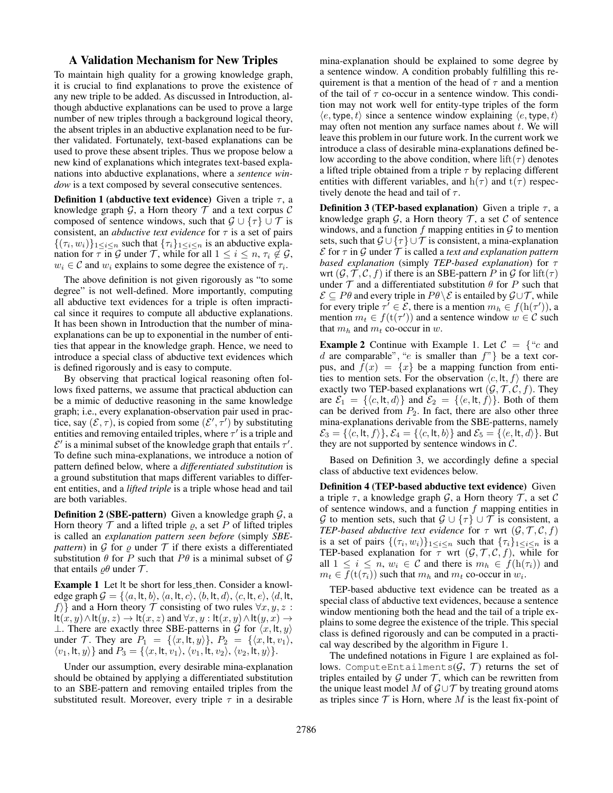## A Validation Mechanism for New Triples

To maintain high quality for a growing knowledge graph, it is crucial to find explanations to prove the existence of any new triple to be added. As discussed in Introduction, although abductive explanations can be used to prove a large number of new triples through a background logical theory, the absent triples in an abductive explanation need to be further validated. Fortunately, text-based explanations can be used to prove these absent triples. Thus we propose below a new kind of explanations which integrates text-based explanations into abductive explanations, where a *sentence window* is a text composed by several consecutive sentences.

**Definition 1 (abductive text evidence)** Given a triple  $\tau$ , a knowledge graph  $\mathcal{G}$ , a Horn theory  $\mathcal{T}$  and a text corpus  $\mathcal{C}$ composed of sentence windows, such that  $\mathcal{G} \cup \{\tau\} \cup \mathcal{T}$  is consistent, an *abductive text evidence* for  $\tau$  is a set of pairs  $\{(\tau_i, w_i)\}_{1 \leq i \leq n}$  such that  $\{\tau_i\}_{1 \leq i \leq n}$  is an abductive explanation for  $\tau$  in  $\mathcal G$  under  $\mathcal T$ , while for all  $1 \leq i \leq n$ ,  $\tau_i \notin \mathcal G$ ,  $w_i \in \mathcal{C}$  and  $w_i$  explains to some degree the existence of  $\tau_i$ .

The above definition is not given rigorously as "to some degree" is not well-defined. More importantly, computing all abductive text evidences for a triple is often impractical since it requires to compute all abductive explanations. It has been shown in Introduction that the number of minaexplanations can be up to exponential in the number of entities that appear in the knowledge graph. Hence, we need to introduce a special class of abductive text evidences which is defined rigorously and is easy to compute.

By observing that practical logical reasoning often follows fixed patterns, we assume that practical abduction can be a mimic of deductive reasoning in the same knowledge graph; i.e., every explanation-observation pair used in practice, say  $(\mathcal{E}, \tau)$ , is copied from some  $(\mathcal{E}', \tau')$  by substituting entities and removing entailed triples, where  $\tau'$  is a triple and  $\mathcal{E}'$  is a minimal subset of the knowledge graph that entails  $\tau'$ . To define such mina-explanations, we introduce a notion of pattern defined below, where a *differentiated substitution* is a ground substitution that maps different variables to different entities, and a *lifted triple* is a triple whose head and tail are both variables.

**Definition 2 (SBE-pattern)** Given a knowledge graph  $\mathcal{G}$ , a Horn theory  $T$  and a lifted triple  $\rho$ , a set P of lifted triples is called an *explanation pattern seen before* (simply *SBEpattern*) in G for  $\rho$  under  $\mathcal T$  if there exists a differentiated substitution  $\theta$  for P such that  $P\theta$  is a minimal subset of G that entails  $\varrho\theta$  under  $\mathcal{T}$ .

Example 1 Let lt be short for less then. Consider a knowledge graph  $\mathcal{G} = \{\langle a, \mathsf{lt}, b \rangle, \langle a, \mathsf{lt}, c \rangle, \langle b, \mathsf{lt}, d \rangle, \langle c, \mathsf{lt}, e \rangle, \langle d, \mathsf{lt},$ f)} and a Horn theory  $\mathcal T$  consisting of two rules  $\forall x, y, z$ :  $lt(x, y) \wedge \text{lt}(y, z) \rightarrow \text{lt}(x, z)$  and  $\forall x, y : \text{lt}(x, y) \wedge \text{lt}(y, x) \rightarrow$ ⊥. There are exactly three SBE-patterns in  $\mathcal G$  for  $\langle x, \mathsf{It}, y \rangle$ under T. They are  $P_1 = \{\langle x, \mathsf{It}, y \rangle\}, P_2 = \{\langle x, \mathsf{It}, v_1 \rangle,$  $\langle v_1, \text{lt}, y \rangle$  and  $P_3 = {\langle x, \text{lt}, v_1 \rangle, \langle v_1, \text{lt}, v_2 \rangle, \langle v_2, \text{lt}, y \rangle}.$ 

Under our assumption, every desirable mina-explanation should be obtained by applying a differentiated substitution to an SBE-pattern and removing entailed triples from the substituted result. Moreover, every triple  $\tau$  in a desirable

mina-explanation should be explained to some degree by a sentence window. A condition probably fulfilling this requirement is that a mention of the head of  $\tau$  and a mention of the tail of  $\tau$  co-occur in a sentence window. This condition may not work well for entity-type triples of the form  $\langle e, \text{type}, t \rangle$  since a sentence window explaining  $\langle e, \text{type}, t \rangle$ may often not mention any surface names about  $t$ . We will leave this problem in our future work. In the current work we introduce a class of desirable mina-explanations defined below according to the above condition, where  $\text{lift}(\tau)$  denotes a lifted triple obtained from a triple  $\tau$  by replacing different entities with different variables, and  $h(\tau)$  and  $t(\tau)$  respectively denote the head and tail of  $\tau$ .

**Definition 3 (TEP-based explanation)** Given a triple  $\tau$ , a knowledge graph  $\mathcal{G}$ , a Horn theory  $\mathcal{T}$ , a set  $\mathcal{C}$  of sentence windows, and a function  $f$  mapping entities in  $\mathcal G$  to mention sets, such that  $\mathcal{G} \cup {\tau} \cup \mathcal{T}$  is consistent, a mina-explanation  $\mathcal E$  for  $\tau$  in  $\mathcal G$  under  $\mathcal T$  is called a *text and explanation pattern based explanation* (simply *TEP-based explanation*) for τ wrt  $(G, \mathcal{T}, \mathcal{C}, f)$  if there is an SBE-pattern P in G for lift( $\tau$ ) under  $\mathcal T$  and a differentiated substitution  $\theta$  for P such that  $\mathcal{E} \subseteq P\theta$  and every triple in  $P\theta \setminus \mathcal{E}$  is entailed by  $\mathcal{G} \cup \mathcal{T}$ , while for every triple  $\tau' \in \mathcal{E}$ , there is a mention  $m_h \in f(h(\tau'))$ , a mention  $m_t \in f(\mathfrak{t}(\tau'))$  and a sentence window  $w \in \mathcal{C}$  such that  $m_h$  and  $m_t$  co-occur in w.

**Example 2** Continue with Example 1. Let  $C = \{^{\omega}c \text{ and } c\}$ d are comparable", "e is smaller than  $f$ "} be a text corpus, and  $f(x) = \{x\}$  be a mapping function from entities to mention sets. For the observation  $\langle c, \mathsf{It}, f \rangle$  there are exactly two TEP-based explanations wrt  $(\mathcal{G}, \mathcal{T}, \mathcal{C}, f)$ . They are  $\mathcal{E}_1 = \{\langle c, \mathsf{lt}, d \rangle\}$  and  $\mathcal{E}_2 = \{\langle e, \mathsf{lt}, f \rangle\}$ . Both of them can be derived from  $P_2$ . In fact, there are also other three mina-explanations derivable from the SBE-patterns, namely  $\mathcal{E}_3 = \{\langle c, \mathsf{lt}, f \rangle\}, \mathcal{E}_4 = \{\langle c, \mathsf{lt}, b \rangle\}$  and  $\mathcal{E}_5 = \{\langle e, \mathsf{lt}, d \rangle\}.$  But they are not supported by sentence windows in  $\mathcal{C}$ .

Based on Definition 3, we accordingly define a special class of abductive text evidences below.

Definition 4 (TEP-based abductive text evidence) Given a triple  $\tau$ , a knowledge graph  $\mathcal{G}$ , a Horn theory  $\mathcal{T}$ , a set  $\mathcal{C}$ of sentence windows, and a function  $f$  mapping entities in G to mention sets, such that  $\mathcal{G} \cup \{\tau\} \cup \mathcal{T}$  is consistent, a *TEP-based abductive text evidence* for  $\tau$  wrt  $(\mathcal{G}, \mathcal{T}, \mathcal{C}, f)$ is a set of pairs  $\{(\tau_i, w_i)\}_{1 \leq i \leq n}$  such that  $\{\tau_i\}_{1 \leq i \leq n}$  is a TEP-based explanation for  $\tau$  wrt  $(\mathcal{G}, \mathcal{T}, \mathcal{C}, f)$ , while for all  $1 \leq i \leq n$ ,  $w_i \in \mathcal{C}$  and there is  $m_h \in f(h(\tau_i))$  and  $m_t \in f(\mathsf{t}(\tau_i))$  such that  $m_h$  and  $m_t$  co-occur in  $w_i$ .

TEP-based abductive text evidence can be treated as a special class of abductive text evidences, because a sentence window mentioning both the head and the tail of a triple explains to some degree the existence of the triple. This special class is defined rigorously and can be computed in a practical way described by the algorithm in Figure 1.

The undefined notations in Figure 1 are explained as follows. ComputeEntailments( $G, T$ ) returns the set of triples entailed by  $G$  under  $T$ , which can be rewritten from the unique least model M of  $\mathcal{G} \cup \mathcal{T}$  by treating ground atoms as triples since  $\mathcal T$  is Horn, where M is the least fix-point of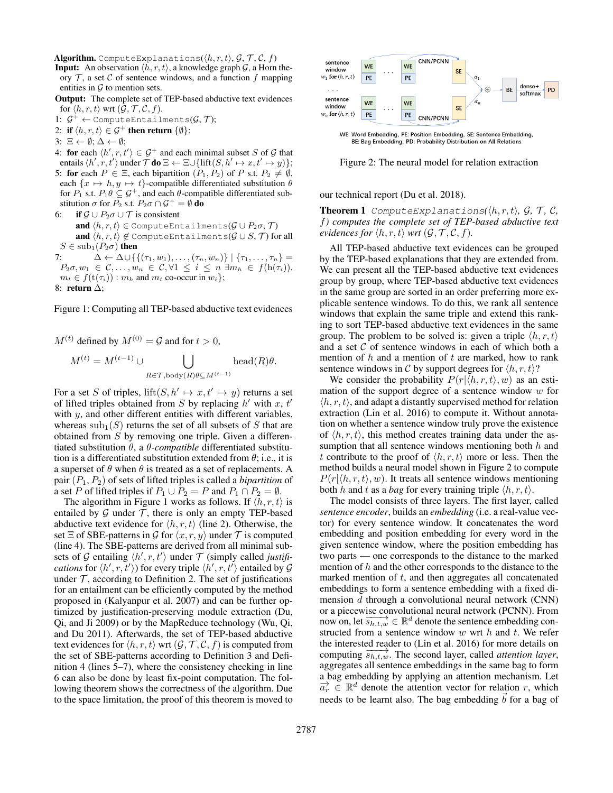Algorithm. ComputeExplanations( $\langle h, r, t \rangle$ ,  $\mathcal{G}, \mathcal{T}, \mathcal{C}, f$ )

**Input:** An observation  $\langle h, r, t \rangle$ , a knowledge graph G, a Horn theory  $\mathcal T$ , a set  $\mathcal C$  of sentence windows, and a function  $f$  mapping entities in  $G$  to mention sets.

Output: The complete set of TEP-based abductive text evidences for  $\langle h, r, t \rangle$  wrt  $(\overline{G}, \mathcal{T}, \mathcal{C}, f)$ .

1:  $\mathcal{G}^+$   $\leftarrow$  ComputeEntailments( $\mathcal{G}, \mathcal{T}$ );

2: if  $\langle h, r, t \rangle \in \mathcal{G}^+$  then return  $\{\emptyset\};$ 

3:  $\Xi \leftarrow \emptyset; \Delta \leftarrow \emptyset;$ 

- 4: for each  $\langle h', r, t' \rangle \in \mathcal{G}^+$  and each minimal subset S of G that entails  $\langle h', r, t' \rangle$  under  $\mathcal{T}$  do  $\Xi \leftarrow \Xi \cup \{ \text{lift}(S, h' \mapsto x, t' \mapsto y) \};$
- 5: for each  $P \in \Xi$ , each bipartition  $(P_1, P_2)$  of P s.t.  $P_2 \neq \emptyset$ , each  $\{x \mapsto h, y \mapsto t\}$ -compatible differentiated substitution  $\theta$ for  $P_1$  s.t.  $P_1 \theta \subseteq \mathcal{G}^+$ , and each  $\theta$ -compatible differentiated substitution  $\sigma$  for  $P_2$  s.t.  $P_2\sigma \cap \mathcal{G}^+ = \emptyset$  do

6: if  $\mathcal{G} \cup P_2 \sigma \cup \mathcal{T}$  is consistent and  $\langle h, r, t \rangle \in \text{ComputeEntailments}(\mathcal{G} \cup P_2 \sigma, \mathcal{T})$ and  $\langle h, r, t \rangle \notin \text{ComputeEntailments}(\mathcal{G} \cup S, \mathcal{T})$  for all

 $S \in sub<sub>1</sub>(P<sub>2</sub>\sigma)$  then 7:  $\Delta \leftarrow \Delta \cup \{ \{ (\tau_1, w_1), \ldots, (\tau_n, w_n) \} \mid \{ \tau_1, \ldots, \tau_n \} =$ 

 $P_2\sigma, w_1 \in \mathcal{C}, \ldots, w_n \in \mathcal{C}, \forall 1 \leq i \leq n \ \exists m_h \in f(h(\tau_i)),$  $m_t \in f(\mathfrak{t}(\tau_i)) : m_h$  and  $m_t$  co-occur in  $w_i$  ; 8: return ∆;

Figure 1: Computing all TEP-based abductive text evidences

 $M^{(t)}$  defined by  $M^{(0)} = G$  and for  $t > 0$ ,

$$
M^{(t)} = M^{(t-1)} \cup \bigcup_{R \in \mathcal{T}, \text{body}(R)\theta \subseteq M^{(t-1)}} \text{head}(R)\theta.
$$

For a set S of triples,  $\text{lift}(S, h' \mapsto x, t' \mapsto y)$  returns a set of lifted triples obtained from  $S$  by replacing  $h'$  with  $x, t'$ with  $y$ , and other different entities with different variables, whereas  $\text{sub}_1(S)$  returns the set of all subsets of S that are obtained from S by removing one triple. Given a differentiated substitution θ, a θ*-compatible* differentiated substitution is a differentiated substitution extended from  $\theta$ ; i.e., it is a superset of  $\theta$  when  $\theta$  is treated as a set of replacements. A pair  $(P_1, P_2)$  of sets of lifted triples is called a *bipartition* of a set P of lifted triples if  $P_1 \cup P_2 = P$  and  $P_1 \cap P_2 = \emptyset$ .

The algorithm in Figure 1 works as follows. If  $\langle h, r, t \rangle$  is entailed by  $G$  under  $T$ , there is only an empty TEP-based abductive text evidence for  $\langle h, r, t \rangle$  (line 2). Otherwise, the set  $\Xi$  of SBE-patterns in G for  $\langle x, r, y \rangle$  under  $\mathcal T$  is computed (line 4). The SBE-patterns are derived from all minimal subsets of G entailing  $\langle h', r, t' \rangle$  under T (simply called *justifications* for  $\langle h', r, t' \rangle$  for every triple  $\langle h', r, t' \rangle$  entailed by  $\mathcal G$ under  $\mathcal T$ , according to Definition 2. The set of justifications for an entailment can be efficiently computed by the method proposed in (Kalyanpur et al. 2007) and can be further optimized by justification-preserving module extraction (Du, Qi, and Ji 2009) or by the MapReduce technology (Wu, Qi, and Du 2011). Afterwards, the set of TEP-based abductive text evidences for  $\langle h, r, t \rangle$  wrt  $(\mathcal{G}, \mathcal{T}, \mathcal{C}, f)$  is computed from the set of SBE-patterns according to Definition 3 and Definition 4 (lines 5–7), where the consistency checking in line 6 can also be done by least fix-point computation. The following theorem shows the correctness of the algorithm. Due to the space limitation, the proof of this theorem is moved to



WE: Word Embedding, PE: Position Embedding, SE: Sentence Embedding, BE: Bag Embedding, PD: Probability Distribution on All Relations

Figure 2: The neural model for relation extraction

our technical report (Du et al. 2018).

**Theorem 1** ComputeExplanations( $\langle h, r, t \rangle$ ,  $\mathcal{G}, \mathcal{T}, \mathcal{C}$ , f*) computes the complete set of TEP-based abductive text evidences for*  $\langle h, r, t \rangle$  *wrt*  $(\mathcal{G}, \mathcal{T}, \mathcal{C}, f)$ *.* 

All TEP-based abductive text evidences can be grouped by the TEP-based explanations that they are extended from. We can present all the TEP-based abductive text evidences group by group, where TEP-based abductive text evidences in the same group are sorted in an order preferring more explicable sentence windows. To do this, we rank all sentence windows that explain the same triple and extend this ranking to sort TEP-based abductive text evidences in the same group. The problem to be solved is: given a triple  $\langle h, r, t \rangle$ and a set  $C$  of sentence windows in each of which both a mention of  $h$  and a mention of  $t$  are marked, how to rank sentence windows in C by support degrees for  $\langle h, r, t \rangle$ ?

We consider the probability  $P(r|\langle h, r, t \rangle, w)$  as an estimation of the support degree of a sentence window  $w$  for  $\langle h, r, t \rangle$ , and adapt a distantly supervised method for relation extraction (Lin et al. 2016) to compute it. Without annotation on whether a sentence window truly prove the existence of  $\langle h, r, t \rangle$ , this method creates training data under the assumption that all sentence windows mentioning both  $h$  and t contribute to the proof of  $\langle h, r, t \rangle$  more or less. Then the method builds a neural model shown in Figure 2 to compute  $P(r|\langle h, r, t \rangle, w)$ . It treats all sentence windows mentioning both h and t as a bag for every training triple  $\langle h, r, t \rangle$ .

The model consists of three layers. The first layer, called *sentence encoder*, builds an *embedding* (i.e. a real-value vector) for every sentence window. It concatenates the word embedding and position embedding for every word in the given sentence window, where the position embedding has two parts — one corresponds to the distance to the marked mention of  $h$  and the other corresponds to the distance to the marked mention of  $t$ , and then aggregates all concatenated embeddings to form a sentence embedding with a fixed dimension d through a convolutional neural network (CNN) or a piecewise convolutional neural network (PCNN). From now on, let  $\overrightarrow{s_{h,t,w}} \in \mathbb{R}^d$  denote the sentence embedding constructed from a sentence window  $w$  wrt  $h$  and  $t$ . We refer the interested reader to (Lin et al. 2016) for more details on computing  $\overrightarrow{s_{h,t,w}}$ . The second layer, called *attention layer*, aggregates all sentence embeddings in the same bag to form a bag embedding by applying an attention mechanism. Let  $\overline{a_r} \in \mathbb{R}^d$  denote the attention vector for relation r, which needs to be learnt also. The bag embedding  $\vec{b}$  for a bag of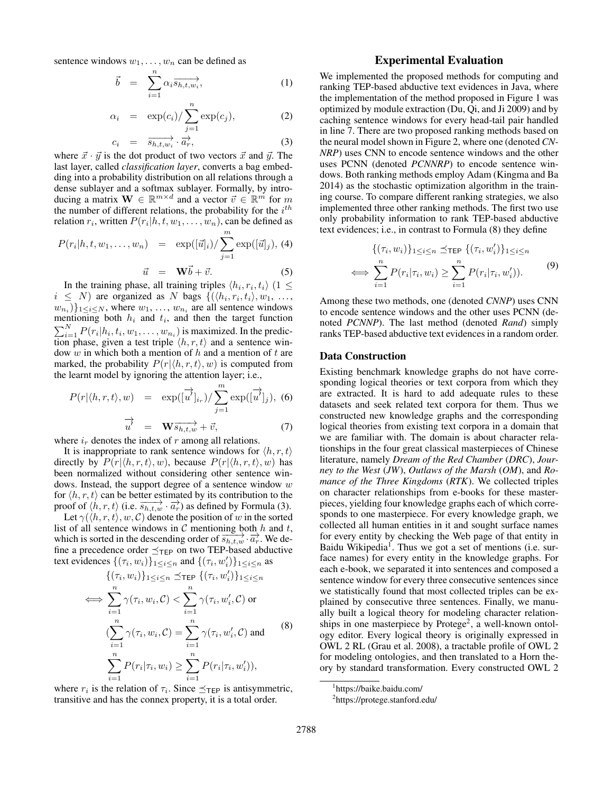sentence windows  $w_1, \ldots, w_n$  can be defined as

$$
\vec{b} = \sum_{i=1}^{n} \alpha_i \overrightarrow{s_{h,t,w_i}}, \tag{1}
$$

$$
\alpha_i = \exp(c_i)/\sum_{j=1}^n \exp(c_j), \qquad (2)
$$

$$
c_i = \overrightarrow{s_{h,t,w_i}} \cdot \overrightarrow{a_r}, \qquad (3)
$$

where  $\vec{x} \cdot \vec{y}$  is the dot product of two vectors  $\vec{x}$  and  $\vec{y}$ . The last layer, called *classification layer*, converts a bag embedding into a probability distribution on all relations through a dense sublayer and a softmax sublayer. Formally, by introducing a matrix  $\mathbf{W} \in \mathbb{R}^{m \times d}$  and a vector  $\vec{v} \in \mathbb{R}^m$  for m the number of different relations, the probability for the  $i^{th}$ relation  $r_i$ , written  $P(r_i | h, t, w_1, \dots, w_n)$ , can be defined as

$$
P(r_i|h, t, w_1, \dots, w_n) = \exp([\vec{u}]_i) / \sum_{j=1}^m \exp([\vec{u}]_j), \text{ (4)}
$$

$$
\vec{u} = \mathbf{W}\vec{b} + \vec{v}. \tag{5}
$$

In the training phase, all training triples 
$$
\langle h_i, r_i, t_i \rangle
$$
  $(1 \leq i \leq N)$  are organized as  $N$  bags  $\{(\langle h_i, r_i, t_i \rangle, w_1, \ldots, w_{n_i})\}_{1 \leq i \leq N}$ , where  $w_1, \ldots, w_{n_i}$  are all sentence windows mentioning both  $h_i$  and  $t_i$ , and then the target function  $\sum_{i=1}^N P(r_i|h_i, t_i, w_1, \ldots, w_{n_i})$  is maximized. In the prediction phase, given a test triple  $\langle h, r, t \rangle$  and a sentence window  $w$  in which both a mention of  $h$  and a mention of  $t$  are marked, the probability  $P(r|\langle h, r, t \rangle, w)$  is computed from the learnt model by ignoring the attention layer; i.e.,

$$
P(r|\langle h, r, t \rangle, w) = \exp([\overrightarrow{u'}]_{i_r}) / \sum_{j=1}^{m} \exp([\overrightarrow{u'}]_j), \quad (6)
$$

$$
\overrightarrow{u'} = \mathbf{W} \overrightarrow{s_{h,t,w}} + \overrightarrow{v}, \quad (7)
$$

where  $i_r$  denotes the index of r among all relations.

It is inappropriate to rank sentence windows for  $\langle h, r, t \rangle$ directly by  $P(r|\langle h, r, t \rangle, w)$ , because  $P(r|\langle h, r, t \rangle, w)$  has been normalized without considering other sentence windows. Instead, the support degree of a sentence window  $w$ for  $\langle h, r, t \rangle$  can be better estimated by its contribution to the proof of  $\langle h, r, t \rangle$  (i.e.  $\overrightarrow{s_{h,t,w}} \cdot \overrightarrow{a_r}$ ) as defined by Formula (3).

Let  $\gamma(\langle h, r, t \rangle, w, C)$  denote the position of w in the sorted list of all sentence windows in  $C$  mentioning both  $h$  and  $t$ , which is sorted in the descending order of  $\overline{s_{h,t,w}} \cdot \overline{a_r}$ . We define a precedence order  $\preceq_{\mathsf{TEP}}$  on two TEP-based abductive text evidences  $\{(\tau_i, w_i)\}_{1 \le i \le n}$  and  $\{(\tau_i, w'_i)\}_{1 \le i \le n}$  as

$$
\{(\tau_i, w_i)\}_{1 \le i \le n} \preceq_{\mathsf{TEP}} \{(\tau_i, w'_i)\}_{1 \le i \le n}
$$
  
\n
$$
\iff \sum_{i=1}^n \gamma(\tau_i, w_i, \mathcal{C}) < \sum_{i=1}^n \gamma(\tau_i, w'_i, \mathcal{C}) \text{ or}
$$
  
\n
$$
(\sum_{i=1}^n \gamma(\tau_i, w_i, \mathcal{C}) = \sum_{i=1}^n \gamma(\tau_i, w'_i, \mathcal{C}) \text{ and}
$$
  
\n
$$
\sum_{i=1}^n P(r_i|\tau_i, w_i) \ge \sum_{i=1}^n P(r_i|\tau_i, w'_i)),
$$
  
\n(8)

where  $r_i$  is the relation of  $\tau_i$ . Since  $\preceq_{\text{TEP}}$  is antisymmetric, transitive and has the connex property, it is a total order.

## Experimental Evaluation

We implemented the proposed methods for computing and ranking TEP-based abductive text evidences in Java, where the implementation of the method proposed in Figure 1 was optimized by module extraction (Du, Qi, and Ji 2009) and by caching sentence windows for every head-tail pair handled in line 7. There are two proposed ranking methods based on the neural model shown in Figure 2, where one (denoted *CN-NRP*) uses CNN to encode sentence windows and the other uses PCNN (denoted *PCNNRP*) to encode sentence windows. Both ranking methods employ Adam (Kingma and Ba 2014) as the stochastic optimization algorithm in the training course. To compare different ranking strategies, we also implemented three other ranking methods. The first two use only probability information to rank TEP-based abductive text evidences; i.e., in contrast to Formula (8) they define

$$
\begin{aligned}\n\{(\tau_i, w_i)\}_{1 \le i \le n} &\le \text{TEP} \{(\tau_i, w'_i)\}_{1 \le i \le n} \\
&\iff \sum_{i=1}^n P(r_i|\tau_i, w_i) \ge \sum_{i=1}^n P(r_i|\tau_i, w'_i)).\n\end{aligned}\n\tag{9}
$$

Among these two methods, one (denoted *CNNP*) uses CNN to encode sentence windows and the other uses PCNN (denoted *PCNNP*). The last method (denoted *Rand*) simply ranks TEP-based abductive text evidences in a random order.

#### Data Construction

Existing benchmark knowledge graphs do not have corresponding logical theories or text corpora from which they are extracted. It is hard to add adequate rules to these datasets and seek related text corpora for them. Thus we constructed new knowledge graphs and the corresponding logical theories from existing text corpora in a domain that we are familiar with. The domain is about character relationships in the four great classical masterpieces of Chinese literature, namely *Dream of the Red Chamber* (*DRC*), *Journey to the West* (*JW*), *Outlaws of the Marsh* (*OM*), and *Romance of the Three Kingdoms* (*RTK*). We collected triples on character relationships from e-books for these masterpieces, yielding four knowledge graphs each of which corresponds to one masterpiece. For every knowledge graph, we collected all human entities in it and sought surface names for every entity by checking the Web page of that entity in Baidu Wikipedia<sup>1</sup>. Thus we got a set of mentions (i.e. surface names) for every entity in the knowledge graphs. For each e-book, we separated it into sentences and composed a sentence window for every three consecutive sentences since we statistically found that most collected triples can be explained by consecutive three sentences. Finally, we manually built a logical theory for modeling character relationships in one masterpiece by Protege<sup>2</sup>, a well-known ontology editor. Every logical theory is originally expressed in OWL 2 RL (Grau et al. 2008), a tractable profile of OWL 2 for modeling ontologies, and then translated to a Horn theory by standard transformation. Every constructed OWL 2

<sup>1</sup> https://baike.baidu.com/

<sup>2</sup> https://protege.stanford.edu/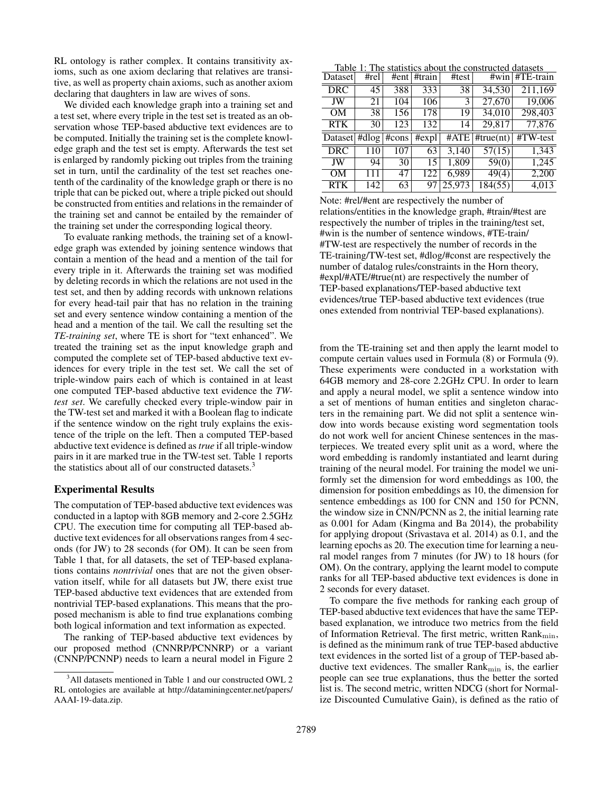RL ontology is rather complex. It contains transitivity axioms, such as one axiom declaring that relatives are transitive, as well as property chain axioms, such as another axiom declaring that daughters in law are wives of sons.

We divided each knowledge graph into a training set and a test set, where every triple in the test set is treated as an observation whose TEP-based abductive text evidences are to be computed. Initially the training set is the complete knowledge graph and the test set is empty. Afterwards the test set is enlarged by randomly picking out triples from the training set in turn, until the cardinality of the test set reaches onetenth of the cardinality of the knowledge graph or there is no triple that can be picked out, where a triple picked out should be constructed from entities and relations in the remainder of the training set and cannot be entailed by the remainder of the training set under the corresponding logical theory.

To evaluate ranking methods, the training set of a knowledge graph was extended by joining sentence windows that contain a mention of the head and a mention of the tail for every triple in it. Afterwards the training set was modified by deleting records in which the relations are not used in the test set, and then by adding records with unknown relations for every head-tail pair that has no relation in the training set and every sentence window containing a mention of the head and a mention of the tail. We call the resulting set the *TE-training set*, where TE is short for "text enhanced". We treated the training set as the input knowledge graph and computed the complete set of TEP-based abductive text evidences for every triple in the test set. We call the set of triple-window pairs each of which is contained in at least one computed TEP-based abductive text evidence the *TWtest set*. We carefully checked every triple-window pair in the TW-test set and marked it with a Boolean flag to indicate if the sentence window on the right truly explains the existence of the triple on the left. Then a computed TEP-based abductive text evidence is defined as *true* if all triple-window pairs in it are marked true in the TW-test set. Table 1 reports the statistics about all of our constructed datasets. $3$ 

### Experimental Results

The computation of TEP-based abductive text evidences was conducted in a laptop with 8GB memory and 2-core 2.5GHz CPU. The execution time for computing all TEP-based abductive text evidences for all observations ranges from 4 seconds (for JW) to 28 seconds (for OM). It can be seen from Table 1 that, for all datasets, the set of TEP-based explanations contains *nontrivial* ones that are not the given observation itself, while for all datasets but JW, there exist true TEP-based abductive text evidences that are extended from nontrivial TEP-based explanations. This means that the proposed mechanism is able to find true explanations combing both logical information and text information as expected.

The ranking of TEP-based abductive text evidences by our proposed method (CNNRP/PCNNRP) or a variant (CNNP/PCNNP) needs to learn a neural model in Figure 2

|  |  |  | Table 1: The statistics about the constructed datasets |  |
|--|--|--|--------------------------------------------------------|--|
|  |  |  |                                                        |  |

| Dataset    | #rel                       | #ent  | #train | $\overline{\text{t}}$ test | .ic comen acteu unuscle<br>#win | $\text{HTE-train}$ |
|------------|----------------------------|-------|--------|----------------------------|---------------------------------|--------------------|
| <b>DRC</b> | 45                         | 388   | 333    | 38                         | 34,530                          | 211,169            |
| JW         | 21                         | 104   | 106    | 3                          | 27,670                          | 19,006             |
| OМ         | 38                         | 156   | 178    | 19                         | 34,010                          | 298,403            |
| <b>RTK</b> | 30                         | 123   | 132    | 14                         | 29,817                          | 77,876             |
|            |                            |       |        |                            |                                 |                    |
| Dataset    | $\overline{\text{H}}$ dlog | #cons | #exp1  | #ATE                       | #true(nt)                       | #TW-test           |
| <b>DRC</b> | 110                        | 107   | 63     | 3,140                      | 57(15)                          | 1,343              |
| JW         | 94                         | 30    | 15     | 1,809                      | $\overline{59(0)}$              | 1,245              |
| <b>OM</b>  | 111                        | 47    | 122    | 6,989                      | 49(4)                           | 2,200              |

Note: #rel/#ent are respectively the number of relations/entities in the knowledge graph, #train/#test are respectively the number of triples in the training/test set, #win is the number of sentence windows, #TE-train/ #TW-test are respectively the number of records in the TE-training/TW-test set, #dlog/#const are respectively the number of datalog rules/constraints in the Horn theory, #expl/#ATE/#true(nt) are respectively the number of TEP-based explanations/TEP-based abductive text evidences/true TEP-based abductive text evidences (true ones extended from nontrivial TEP-based explanations).

from the TE-training set and then apply the learnt model to compute certain values used in Formula (8) or Formula (9). These experiments were conducted in a workstation with 64GB memory and 28-core 2.2GHz CPU. In order to learn and apply a neural model, we split a sentence window into a set of mentions of human entities and singleton characters in the remaining part. We did not split a sentence window into words because existing word segmentation tools do not work well for ancient Chinese sentences in the masterpieces. We treated every split unit as a word, where the word embedding is randomly instantiated and learnt during training of the neural model. For training the model we uniformly set the dimension for word embeddings as 100, the dimension for position embeddings as 10, the dimension for sentence embeddings as 100 for CNN and 150 for PCNN, the window size in CNN/PCNN as 2, the initial learning rate as 0.001 for Adam (Kingma and Ba 2014), the probability for applying dropout (Srivastava et al. 2014) as 0.1, and the learning epochs as 20. The execution time for learning a neural model ranges from 7 minutes (for JW) to 18 hours (for OM). On the contrary, applying the learnt model to compute ranks for all TEP-based abductive text evidences is done in 2 seconds for every dataset.

To compare the five methods for ranking each group of TEP-based abductive text evidences that have the same TEPbased explanation, we introduce two metrics from the field of Information Retrieval. The first metric, written  $Rank_{\min}$ , is defined as the minimum rank of true TEP-based abductive text evidences in the sorted list of a group of TEP-based abductive text evidences. The smaller  $Rank_{\min}$  is, the earlier people can see true explanations, thus the better the sorted list is. The second metric, written NDCG (short for Normalize Discounted Cumulative Gain), is defined as the ratio of

 $3$ All datasets mentioned in Table 1 and our constructed OWL 2 RL ontologies are available at http://dataminingcenter.net/papers/ AAAI-19-data.zip.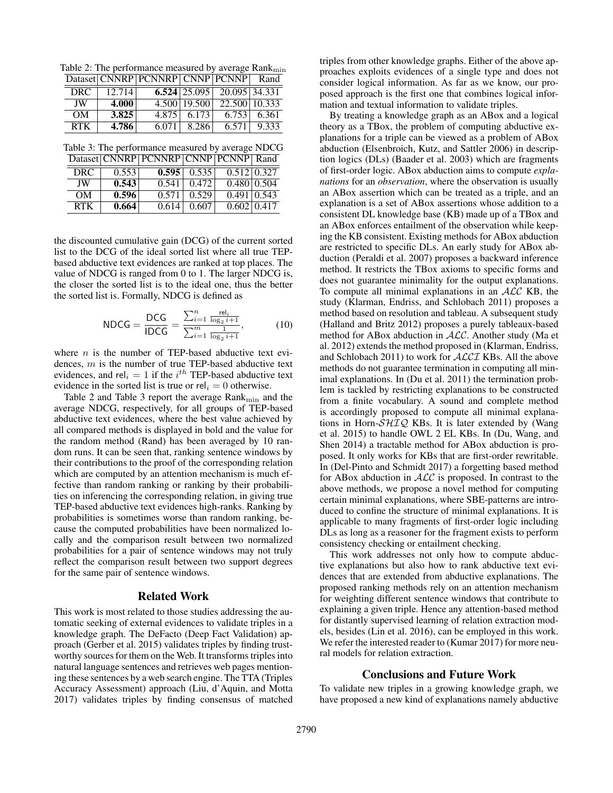Table 2: The performance measured by average  $Rank_{min}$ 

|            |        | Dataset CNNRP PCNNRP CNNP PCNNP |              |                            | Rand  |
|------------|--------|---------------------------------|--------------|----------------------------|-------|
| DRC.       | 12.714 |                                 |              | 6.524 25.095 20.095 34.331 |       |
| TW.        | 4.000  |                                 | 4.500 19.500 | $22.500\overline{10.333}$  |       |
| <b>OM</b>  | 3.825  | 4.875                           | 6.173        | 6.753                      | 6.361 |
| <b>RTK</b> | 4.786  | 6.071                           | 8.286        | 6.571                      | 9.333 |

Table 3: The performance measured by average NDCG

|            |       | Dataset CNNRP PCNNRP CNNP PCNNP Rand |                         |                                       |  |
|------------|-------|--------------------------------------|-------------------------|---------------------------------------|--|
| DRC.       | 0.553 |                                      | $0.595 \mid 0.535 \mid$ | $0.512 \mid 0.327$                    |  |
| <b>IW</b>  | 0.543 | 0.541                                | 0.4721                  | $0.\overline{480}\,\overline{)0.504}$ |  |
| OМ         | 0.596 | 0.571                                | 0.529                   | $0.491 \mid 0.543$                    |  |
| <b>RTK</b> | 0.664 | 0.614                                | 0.607                   | 0.602   0.417                         |  |

the discounted cumulative gain (DCG) of the current sorted list to the DCG of the ideal sorted list where all true TEPbased abductive text evidences are ranked at top places. The value of NDCG is ranged from 0 to 1. The larger NDCG is, the closer the sorted list is to the ideal one, thus the better the sorted list is. Formally, NDCG is defined as

NDCG = 
$$
\frac{\text{DCG}}{\text{IDCG}} = \frac{\sum_{i=1}^{n} \frac{\text{rel}_i}{\log_2 i + 1}}{\sum_{i=1}^{m} \frac{1}{\log_2 i + 1}},
$$
 (10)

where  $n$  is the number of TEP-based abductive text evidences, m is the number of true TEP-based abductive text evidences, and rel<sub>i</sub> = 1 if the  $i<sup>th</sup>$  TEP-based abductive text evidence in the sorted list is true or  $rel_i = 0$  otherwise.

Table 2 and Table 3 report the average  $Rank_{\min}$  and the average NDCG, respectively, for all groups of TEP-based abductive text evidences, where the best value achieved by all compared methods is displayed in bold and the value for the random method (Rand) has been averaged by 10 random runs. It can be seen that, ranking sentence windows by their contributions to the proof of the corresponding relation which are computed by an attention mechanism is much effective than random ranking or ranking by their probabilities on inferencing the corresponding relation, in giving true TEP-based abductive text evidences high-ranks. Ranking by probabilities is sometimes worse than random ranking, because the computed probabilities have been normalized locally and the comparison result between two normalized probabilities for a pair of sentence windows may not truly reflect the comparison result between two support degrees for the same pair of sentence windows.

## Related Work

This work is most related to those studies addressing the automatic seeking of external evidences to validate triples in a knowledge graph. The DeFacto (Deep Fact Validation) approach (Gerber et al. 2015) validates triples by finding trustworthy sources for them on the Web. It transforms triples into natural language sentences and retrieves web pages mentioning these sentences by a web search engine. The TTA (Triples Accuracy Assessment) approach (Liu, d'Aquin, and Motta 2017) validates triples by finding consensus of matched

triples from other knowledge graphs. Either of the above approaches exploits evidences of a single type and does not consider logical information. As far as we know, our proposed approach is the first one that combines logical information and textual information to validate triples.

By treating a knowledge graph as an ABox and a logical theory as a TBox, the problem of computing abductive explanations for a triple can be viewed as a problem of ABox abduction (Elsenbroich, Kutz, and Sattler 2006) in description logics (DLs) (Baader et al. 2003) which are fragments of first-order logic. ABox abduction aims to compute *explanations* for an *observation*, where the observation is usually an ABox assertion which can be treated as a triple, and an explanation is a set of ABox assertions whose addition to a consistent DL knowledge base (KB) made up of a TBox and an ABox enforces entailment of the observation while keeping the KB consistent. Existing methods for ABox abduction are restricted to specific DLs. An early study for ABox abduction (Peraldi et al. 2007) proposes a backward inference method. It restricts the TBox axioms to specific forms and does not guarantee minimality for the output explanations. To compute all minimal explanations in an  $ALC$  KB, the study (Klarman, Endriss, and Schlobach 2011) proposes a method based on resolution and tableau. A subsequent study (Halland and Britz 2012) proposes a purely tableaux-based method for ABox abduction in ALC. Another study (Ma et al. 2012) extends the method proposed in (Klarman, Endriss, and Schlobach 2011) to work for ALCI KBs. All the above methods do not guarantee termination in computing all minimal explanations. In (Du et al. 2011) the termination problem is tackled by restricting explanations to be constructed from a finite vocabulary. A sound and complete method is accordingly proposed to compute all minimal explanations in Horn- $\mathcal{SHIQ}$  KBs. It is later extended by (Wang et al. 2015) to handle OWL 2 EL KBs. In (Du, Wang, and Shen 2014) a tractable method for ABox abduction is proposed. It only works for KBs that are first-order rewritable. In (Del-Pinto and Schmidt 2017) a forgetting based method for ABox abduction in  $ALC$  is proposed. In contrast to the above methods, we propose a novel method for computing certain minimal explanations, where SBE-patterns are introduced to confine the structure of minimal explanations. It is applicable to many fragments of first-order logic including DLs as long as a reasoner for the fragment exists to perform consistency checking or entailment checking.

This work addresses not only how to compute abductive explanations but also how to rank abductive text evidences that are extended from abductive explanations. The proposed ranking methods rely on an attention mechanism for weighting different sentence windows that contribute to explaining a given triple. Hence any attention-based method for distantly supervised learning of relation extraction models, besides (Lin et al. 2016), can be employed in this work. We refer the interested reader to (Kumar 2017) for more neural models for relation extraction.

## Conclusions and Future Work

To validate new triples in a growing knowledge graph, we have proposed a new kind of explanations namely abductive